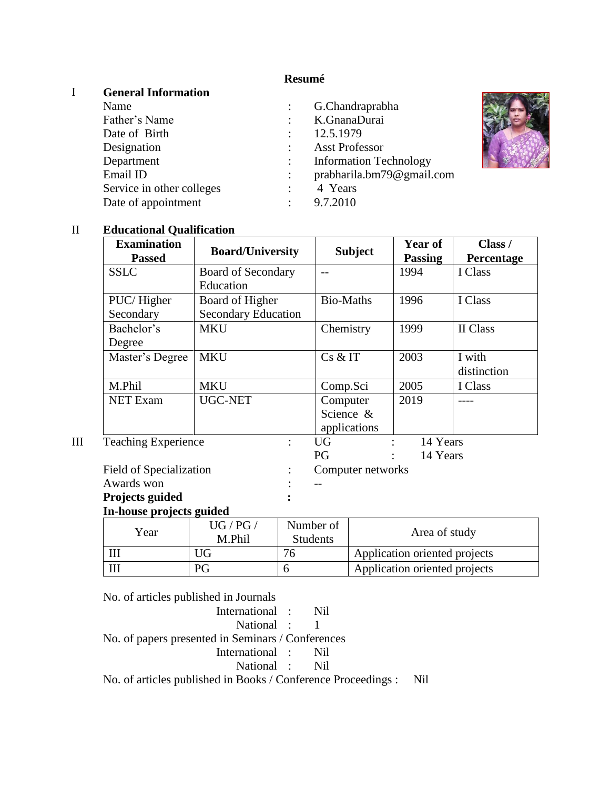# **Resumé**

### I **General Information**

| Name                      |                | G.Chandraprabha               |
|---------------------------|----------------|-------------------------------|
| Father's Name             |                | K.GnanaDurai                  |
| Date of Birth             |                | 12.5.1979                     |
| Designation               | $\ddot{\cdot}$ | <b>Asst Professor</b>         |
| Department                |                | <b>Information Technology</b> |
| Email ID                  | $\ddot{\cdot}$ | prabharila.bm79@gmail.com     |
| Service in other colleges |                | 4 Years                       |
| Date of appointment       | ٠              | 9.7.2010                      |

#### II **Educational Qualification**

| <b>Examination</b>         |                            |                 |                  | <b>Subject</b>    | Year of                       | Class /     |
|----------------------------|----------------------------|-----------------|------------------|-------------------|-------------------------------|-------------|
| <b>Passed</b>              | <b>Board/University</b>    |                 |                  |                   | <b>Passing</b>                | Percentage  |
| <b>SSLC</b>                | <b>Board of Secondary</b>  |                 | $-1$             |                   | 1994                          | I Class     |
|                            | Education                  |                 |                  |                   |                               |             |
| PUC/Higher                 | Board of Higher            |                 | <b>Bio-Maths</b> |                   | 1996                          | I Class     |
| Secondary                  | <b>Secondary Education</b> |                 |                  |                   |                               |             |
| Bachelor's                 | <b>MKU</b>                 |                 | Chemistry        |                   | 1999                          | II Class    |
| Degree                     |                            |                 |                  |                   |                               |             |
| Master's Degree            | <b>MKU</b>                 |                 | Cs & T           |                   | 2003                          | I with      |
|                            |                            |                 |                  |                   |                               | distinction |
| M.Phil                     | <b>MKU</b>                 |                 | Comp.Sci         |                   | 2005                          | I Class     |
| <b>NET Exam</b>            | UGC-NET                    |                 | Computer         |                   | 2019                          |             |
|                            |                            |                 | Science &        |                   |                               |             |
|                            |                            |                 |                  | applications      |                               |             |
| <b>Teaching Experience</b> |                            |                 | <b>UG</b>        |                   | 14 Years                      |             |
|                            |                            |                 | PG               |                   | 14 Years                      |             |
| Field of Specialization    |                            |                 |                  | Computer networks |                               |             |
| Awards won                 |                            |                 |                  |                   |                               |             |
| Projects guided            |                            |                 |                  |                   |                               |             |
| In-house projects guided   |                            |                 |                  |                   |                               |             |
| Year                       | UG / PG /                  |                 | Number of        |                   |                               |             |
|                            | M.Phil                     | <b>Students</b> |                  | Area of study     |                               |             |
| III                        | <b>UG</b>                  | 76              |                  |                   | Application oriented projects |             |
| III                        | PG                         | 6               |                  |                   | Application oriented projects |             |

6 Application oriented projects

No. of articles published in Journals

| International : Nil                                               |  |  |
|-------------------------------------------------------------------|--|--|
| National : 1                                                      |  |  |
| No. of papers presented in Seminars / Conferences                 |  |  |
| International : Nil                                               |  |  |
| National : Nil                                                    |  |  |
| No. of articles published in Books / Conference Proceedings : Nil |  |  |
|                                                                   |  |  |

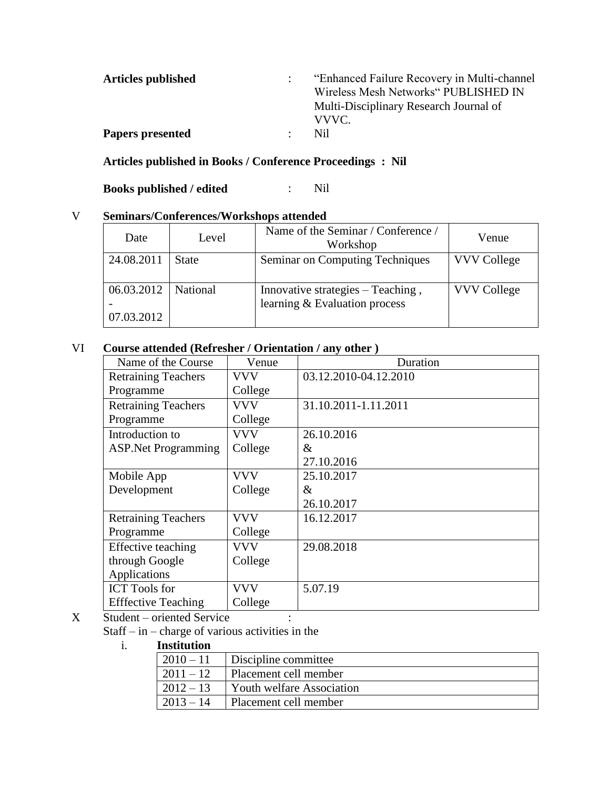| <b>Articles published</b> | "Enhanced Failure Recovery in Multi-channel"<br>Wireless Mesh Networks" PUBLISHED IN<br>Multi-Disciplinary Research Journal of<br>VVVC. |
|---------------------------|-----------------------------------------------------------------------------------------------------------------------------------------|
| <b>Papers presented</b>   | Nil                                                                                                                                     |

#### **Articles published in Books / Conference Proceedings : Nil**

**Books published / edited** : Nil

## V **Seminars/Conferences/Workshops attended**

| Date                     | Level        | Name of the Seminar / Conference /<br>Workshop                     | Venue              |
|--------------------------|--------------|--------------------------------------------------------------------|--------------------|
| 24.08.2011               | <b>State</b> | Seminar on Computing Techniques                                    | <b>VVV College</b> |
| 06.03.2012<br>07.03.2012 | National     | Innovative strategies – Teaching,<br>learning & Evaluation process | <b>VVV College</b> |

# VI **Course attended (Refresher / Orientation / any other )**

| Name of the Course          | Venue      | Duration              |
|-----------------------------|------------|-----------------------|
| <b>Retraining Teachers</b>  | VVV        | 03.12.2010-04.12.2010 |
| Programme                   | College    |                       |
| <b>Retraining Teachers</b>  | <b>VVV</b> | 31.10.2011-1.11.2011  |
| Programme                   | College    |                       |
| Introduction to             | <b>VVV</b> | 26.10.2016            |
| <b>ASP. Net Programming</b> | College    | &                     |
|                             |            | 27.10.2016            |
| Mobile App                  | VVV        | 25.10.2017            |
| Development                 | College    | &                     |
|                             |            | 26.10.2017            |
| <b>Retraining Teachers</b>  | <b>VVV</b> | 16.12.2017            |
| Programme                   | College    |                       |
| Effective teaching          | <b>VVV</b> | 29.08.2018            |
| through Google              | College    |                       |
| Applications                |            |                       |
| <b>ICT</b> Tools for        | <b>VVV</b> | 5.07.19               |
| <b>Effective Teaching</b>   | College    |                       |

X Student – oriented Service :

Staff – in – charge of various activities in the

i. **Institution**

| $ 2010 - 11$  | Discipline committee             |
|---------------|----------------------------------|
| $ 2011 - 12 $ | Placement cell member            |
| $ 2012 - 13$  | <b>Youth welfare Association</b> |
| $ 2013 - 14$  | Placement cell member            |